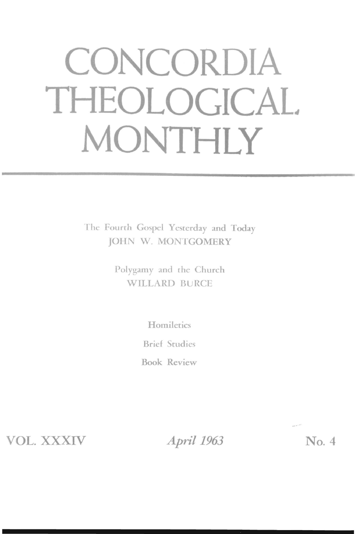# **CONCORDIA**  THEOLOGICAL, **MONTHLY**

The Fourth Gospel Yesterday and Today JOHN W. MONTGOMERY

> Polygamy and the Church WILLARD BURCE

> > **Homiletics**

Brief Studies

Book Review

VOL. XXXIV

*April* 1963

No. 4

-.-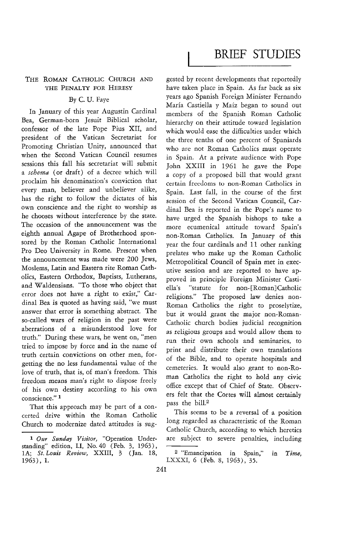# THE ROMAN CATHOLIC CHURCH AND THE PENALTY FOR HERESY

# By C. U. Faye

In January of this year Augustin Cardinal Bea, German-born Jesuit Biblical scholar, confessor of the late Pope Pius XII, and president of the Vatican Secretariat for Promoting Christian Unity, announced that when the Second Vatican Council resumes sessions this fall his secretariat will submit a *schema* (or draft) of a decree which will proclaim his denomination's conviction that every man, believer and unbeliever alike, has the right to follow the dictates of his own conscience and the right to worship as he chooses without interference by the state. The occasion of the announcement was the eighth annual Agape of Brotherhood sponsored by the Roman Catholic International Pro Deo University in Rome. Present when the announcement was made were 200 Jews, Moslems, Latin and Eastern fite Roman Catholics, Eastern Orthodox, Baptists, Lutherans, and Waldensians. "To those who object that error does not have a right to exist," Cardinal Bea is quoted as having said, "we must answer that error is something abstract. The so-called wars of religion in the past were aberrations of a misunderstood love for truth." During these wars, he went on, "men tried to impose by force and in the name of truth certain convictions on other men, forgetting the no less fundamental value of the love of truth, that is, of man's freedom. This freedom means man's right to dispose freely of his own destiny according to his own conscience." 1

That this approach may be part of a concerted drive within the Roman Catholic Church to modernize dated attitudes is sug-

# BRIEF STUDIES

gested by recent developments that reportedly have taken place in Spain. As far back as six years ago Spanish Foreign Minister Fernando María Castiella y Maíz began to sound out members of the Spanish Roman Catholic hierarchy on their attitude toward legislation which would ease the difficulties under which the three tenths of one percent of Spaniards who are not Roman Catholics must operate in Spain. At a private audience with Pope John XXIII in 1961 he gave the Pope a copy of a proposed bill that would grant certain freedoms to non-Roman Catholics in Spain. Last fall, in the course of the first session of the Second Vatican Council, Cardinal Bea is reported in the Pope's name to have urged the Spanish bishops to take a more ecumenical attitude toward Spain's non-Roman Catholics. In January of this year the four cardinals and 11 other ranking prelates who make up the Roman Catholic Metropolitical Council of Spain met in executive session and are reported to have approved in principle Foreign Minister Castiella's "statute for non-[Roman}Catholic religions." The proposed law denies non-Roman Catholics the right to proselytize, but it would grant the major non-Roman-Catholic church bodies judicial recognition as religious groups and would allow them to run their own schools and seminaries, to print and distribute their own translations of the Bible, and to operate hospitals and cemeteries. It would also grant to non-Roman Catholics the right to hold any civic office except that of Chief of State. Observers felt that the Cortes will almost certainly pass the bill.<sup>2</sup>

This seems to be a reversal of a position long regarded as characteristic of the Roman Catholic Church, according to which heretics are subject to severe penalties, including

*<sup>1</sup> Our Sunday Visitor,* "Operation Understanding" edition, LI, No.40 (Feb. 3, 1963), lA; *St. Louis Review,* XXIII, 3 (Jan. 18, 1%3), 1.

<sup>2 &</sup>quot;Emancipation in Spain," in *Time,*  LXXXI, 6 (Feb. 8, 1963), 35.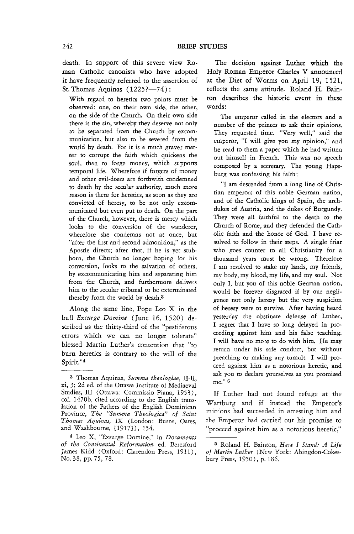death. In support of this severe view Roman Catholic canonists who have adopted it have frequently referred to the assertion of St. Thomas Aquinas  $(1225? - 74)$ :

With regard to heretics two points must be observed: one, on their own side, the other, on the side of the Church. On their own side there is the sin, whereby they deserve not only to be separated from the Church by excommunication, but also to be severed from the world by death. For it is a much graver matter to corrupt the faith which quickens the soul, than to forge money, which supports temporal life. Wherefore if forgers of money and other evil-doers are forthwith condemned to death by the secular authority, much more reason is there for heretics, as soon as they are convicted of heresy, to be not only excommunicated but even put to death. On the part of the Church, however, there *is* mercy which looks to the conversion of the wanderer, wherefore she condemns not at once, but "after the first and second admonition," as the Apostle directs; after that, if he is yet stubborn, the Church no longer hoping for his conversion, looks to the salvation of others, by excommunicating him and separating him from the Church, and furthermore delivers him to the secular tribunal to be exterminated thereby from the world by death.3

Along the same line, Pope Leo  $X$  in the bull *Exsurge Domine* (June 16, 1520) described as the thirty-third of the "pestiferous errors which we can no longer tolerate" blessed Martin Luther's contention that "to burn heretics is contrary to the will of the Spirit."4

The decision against Luther which the Holy Roman Emperor Charles V announced at the Diet of Worms on April 19, 1521, reflects the same attitude. Roland H. Bainton describes the historic event in these words:

The emperor called in the electors and a number of the princes to ask their opinions. They requested time. "Very well," said the emperor, "I will give you my opinion," and he read to them a paper which he had written out himself in French. This was no speech composed by a secretary. The young Hapsburg was confessing his faith:

"I am descended from a long line of Christian emperors of this noble German nation, and of the Catholic kings of Spain, the archdukes of Austria, and the dukes of Burgundy. They were all faithful to the death to the Church of Rome, and they defended the Catholic faith and the honor of God. I have resolved to follow in their steps. A single friar who goes counter to all Christianity for a thousand years must be wrong. Therefore I am resolved to stake my lands, my friends, my body, my blood, my life, and my soul. Not only I, but you of this noble German nation, would be forever disgraced if by our negligence not only heresy but the very suspicion of heresy were to survive. After having heard yesterday the obstinate defense of Luther, I regret that I have so long delayed in proceeding against him and his false teaching. I will have no more to do with him. He may return under his safe conduct, but without preaching or making any tumult. I will proceed against him as a notorious heretic, and ask you to declare yourselves as you promised me."5

If Luther had not found refuge at the Wartburg and if instead the Emperor's minions had succeeded in arresting him and the Emperor had carried out his promise to "proceed against him as a notorious heretic,"

<sup>3</sup> Thomas Aquinas, *Summa theologiae,* II-II, xi, 3; 2d ed. of the Ortawa Institute of Mediaeval Studies, III (Ottawa: *Commissio* Piana, 1953), col. 1470b, cited according to the English translation of the Fathers of the English Dominican Province, The "Summa Theologica" of Saint *Thomas Aquinas,* IX (London: Burns, Oates, and Washbourne, [1917]), 154.

<sup>4</sup> Leo X, "Exsurge Domine," in *Documents 0/ the Continental Reformation* ed. Beresford James Kidd (Oxford: Clarendon Press, 1911), No. 38, pp. 75, 78.

<sup>5</sup> Roland H. Bainton, *Here I Stand: A Li/e 0/ Martin LlIther* (New York: Abingdon-Cokesbury Press, 1950), p. 186.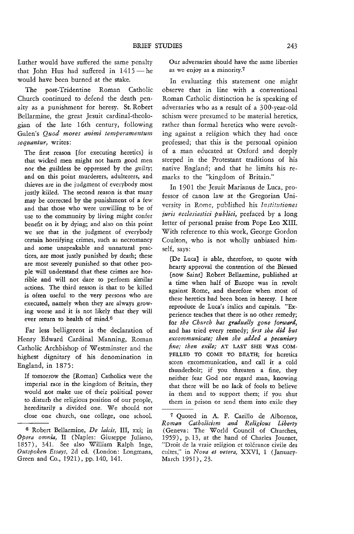Luther would have suffered the same penalty that John Hus had suffered in  $1415$ —he would have been burned at the stake.

The post-Tridentine Roman Catholic Church continued to defend the death penalty as a punishment for heresy. St. Robert Bellarmine, the great Jesuit cardinal-theologian of the late 16th century, following Galen's *Quod mores animi temperamentum sequantur,* writes:

The first reason [for executing heretics} is that wicked men might not harm good men nor the guiltless be oppressed by the guilty; and on this point murderers, adulterers, and thieves are in the judgment of everybody most justly killed. The second reason is that many may be corrected by the punishment of a few and that those who were unwilling to be of use to the community by living might confer benefit on it by dying; and also on this point we see that in the judgment of everybody certain horrifying crimes, such as necromancy and some unspeakable and unnatural practices, are most justly punished by death; these are most severely punished so that other people will understand that these crimes are horrible and will not dare to perform similar actions. The third reason is that to be killed is often useful to the very persons who are executed, namely when they are always growing worse and it is not likely that they will ever return to health of mind.6

Far less belligerent is the declaration of Henry Edward Cardinal Manning, Roman Catholic Archbishop of Westminster and the highest dignitary of his denomination in England, in 1875:

If tomorrow the [Roman} Catholics were the imperial race in the kingdom of Britain, they would not make use of their political power to disturb the religious position of our people, hereditarily a divided one. We should not close one church, one college, one school. Our adversaries should have the same liberties as we enjoy as a minority.7

In evaluating this statement one might observe that in line with a conventional Roman Catholic distinction he is speaking of adversaries who as a result of a 300-year-old schism were presumed to be material heretics, rather than formal heretics who were revolting against a religion which they had once professed; that this is the personal opinion of a man educated at Oxford and deeply steeped in the Protestant traditions of his native England; and that he limits his remarks to the "kingdom of Britain."

In 1901 the Jesuit Marianus de Luca, professor of canon law at the Gregorian University in Rome, published his *Institutiones juris ecclesiastici publici,* prefaced by a long letter of personal praise from Pope Leo XIII. With reference to this work, George Gordon Coulton, who is not wholly unbiased himself, says:

[De Luca] is able, therefore, to quote with hearty approval the contention of the Blessed [now Saint} Robert Bellarmine, published at a time when half of Europe was in revolt against Rome, and therefore when most of these heretics had been born in heresy. I here reproduce de Luca's italics and capitals. "Experience teaches that there is no other remedy; for *the Church has gradually gone forward*, and has tried every remedy; *first she did but excommunicate; then she added a pecuniary fine; then exile;* AT LAST SHE WAS COM-PELLED TO COME TO DEATH; for heretics scorn excommunication, and call it a cold thunderbolt; if you threaten a fine, they neither fear God nor regard man, knowing that there will be no lack of fools to believe in them and to support them; if you shut them in prison or send them into exile they

<sup>&</sup>lt;sup>6</sup> Robert Bellarmine, *De laicis*, III, xxi; in *Opera omnia,* II (Naples: Giuseppe Juliano, 1857), 341. See also William Ralph lnge, *01!tspoken Essays,* 2d ed. (London: Longmans, Green and Co., 1921), pp. 140, 141.

<sup>7</sup> Quoted in A. F. Carillo de Albornoz, *Roman Catholicism and Religious Liberty*  (Geneva: The World Council of Churches, 1959), p.13, at the hand of Charles Journet, "Droit de la vraie religion et tolérance civile des cultes," in *Nova et vetera,* XXVI, 1 (January-March 1951), 23.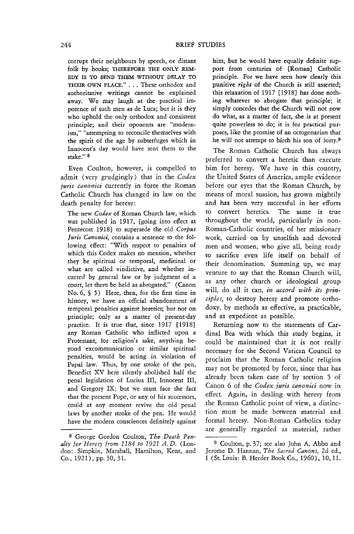corrupt their neighbours by speech, or distant folk by books; THEREFORE THE ONLY REM-EDY IS TO SEND THEM WITHOUT DELAY TO THEIR OWN PLACE." ... These orthodox and authoritative writings cannot be explained away. We may laugh at the practical impotence of such men as de Luca; but it is they who uphold the only orthodox and consistent principle; and their oponents are "modernists," "attempting to reconcile themselves with the spirit of the age by subterfuges which in Innocent's day would have sent them to the stake." 8

Even Coulton, however, is compelled to admit (very grudgingly) that in the *Codex juris canonici* currently in force the Roman Catholic Church has changed its law on the death penalty for heresy:

The new *Codex* of Roman Church law, which was published in 1917, [going into effect at Pentecost 1915} to supersede the old *Corpus Juris Canonici*, contains a sentence to the following effect: "With respect to penalties of which this Codex makes no mention, whether they be spiritual or temporal, medicinal or what are called vindictive, and whether incurred by general law or by judgment of a court, let them be held as abrogated." (Canon No. 6, § 5) Here, then, for the first time in history, we have an official abandonment of temporal penalties against heretics; but not on principle; only as a matter of present-day practice. It is true that, since 1917 [191S} any Roman Catholic who inflicted upon a Protestant, for religion's sake, anything beyond excommunication or similar spiritual penalties, would be acting in violation of Papal law. Thus, by one stroke of the pen, Benedict XV here silently abolished half the penal legislation of Lucius III, Innocent III, and Gregory IX; but we must face the fact that the present Pope, or any of his successors, could at any moment revive the old penal laws by another stroke of the pen. He would have the modern consciences definitely against him, but he would have equally definite support from centuries of [Roman] Catholic principle. For we have seen how dearly this punitive *right* of the Church is still asserted; this relaxation of 1917 [191S} has done nothing whatever to abrogate that principle; it simply concedes that the Church will not now do what, as a matter of fact, she is at present quite powerless to do; it is for practical purposes, like the promise of an octogenarian that he will not attempt to birch his son of forty.9

The Roman Catholic Church has always preferred to convert a heretic than execute him for heresy. We have in this country, the United States of America, ample evidence before our eyes that the Roman Church, by means of moral suasion, has grown mightily and has been very successful in her efforts to convert heretics. The same is true throughout the world, particularly in non-Roman-Catholic countries, of her missionaty work, carried on by unselfish and devoted men and women, who give all, being ready to sacrifice even life itself on behalf of their denomination. Summing up, we may venture to say that the Roman Church will, as any other church or ideological group will, do all it can, *in accord with its principles,* to destroy heresy and promote orthodoxy, by methods as effective, as practicable, and as expedient as possible.

Returning now to the statements of Cardinal Eea with which this study begins, it could be maintained that it is not really necessary for the Second Vatican Council to proclaim that the Roman Catholic religion may not be promoted by force, since that has already been taken care of by section 5 of Canon 6 of the *Codex juris canonici* now in effect. Again, in dealing with heresy from the Roman Catholic point of view, a distinction must be made between material and formal heresy. Non-Roman Catholics today are generally regarded as material, rather

<sup>8</sup> George Gordon Coulton, *The Death Penalty for Heresy from* 1184 *to* 1921 *A.* D. (London: Simpkin, Marshall, Hamilton, Kent, and Co., 1921), pp. 30, 31.

<sup>9</sup> Coulton, p. 37; see also John A. Abbo and Jerome D. Hannan, *The Sacred Canons,* 2d ed., I (St. Louis: B. Herder Book Co., 1960), 10, 11.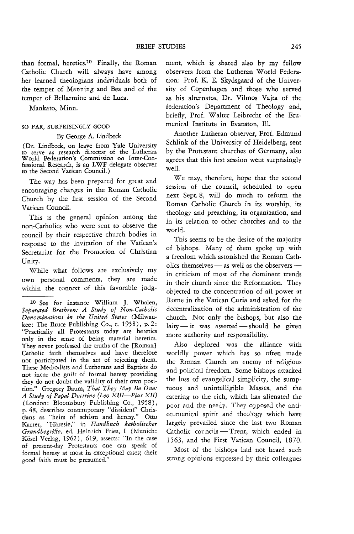than formal, heretics.10 Finally, the Roman Catholic Church will always have among her learned theologians individuals both of the temper of Manning and Bea and of the temper of Bellarmine and de Luca.

Mankato, Minn.

#### SO FAR, SURPRISINGLY GOOD

#### By George A. Lindbeck

(Dr. Lindbeck, on leave from Yale University to serve as research director of the Lutheran World Federation's Commission on Inter-Confessional Research, is an L WF delegate observer to the Second Vatican Council.)

The way has been prepared for great and encouraging changes in the Roman Catholic Church by the first session of the Second Vatican Council.

This is the general opinion among the non-Catholics who were sent to observe the council by their respective church bodies in response to the invitation of the Vatican's Secretariat for the Promotion of Christian Unity.

While what follows are exclusively my own personal comments, they are made within the context of this favorable judg-

10 See for instance William ]. Whalen, *Separated Brethren: A Study of Non-Catholic Denominations in the United States* (Milwaukee: The Bruce Publishing Co., c. 1958), p. 2: "Practically all Protestants today are heretics only in the sense of being material heretics. They never professed the truths of the [Roman] Catholic faith themselves and have therefore not participated in the act of rejecting them. These Methodists and Lutherans and Baptists do not incur the guilt of formal heresy providing they do not doubt the validity of their own position." Gregory Baum, *That They May Be One: A Study of Papal Doctrine (Leo XIII-Pius XII)*  (London: Bloomsbury Publishing Co., 1958), p.48, describes contemporary "dissident" Christians as "heirs of schism and heresy." Otto Karrer, "Haresie," in *Handbuch katholischer Grundbegriffe,* ed. Heinrich Fries, I (Munich: Kösel Verlag, 1962), 619, asserts: "In the case of present-day Protestants one can speak of formal heresy at most in exceptional cases; their good faith must be presumed."

mem, which is shared also by my fellow observers from the Lutheran World Federation: Prof. K. E. Skydsgaard of the University of Copenhagen and those who served as his alternates, Dr. Vilmos Vajta of the federation's Department of Theology and, briefly, Prof. Walter Leibrecht of the Ecumenical Institute in Evanston, Ill.

Another Lutheran observer, Prof. Edmund Schlink of the University of Heidelberg, sent by the Protestant churches of Germany, also agrees that this first session went surprisingly welL

We may, therefore, hope that the second session of the council, scheduled to open next Sept. 8, will do much to reform the Roman Catholic Church in its worship, its theology and preaching, its organization, and in its relation to other churches and to the world.

This seems to be the desire of the majority of bishops. Many of them spoke up with a freedom which astonished the Roman Catholics themselves - as well as the observers in criticism of most of the dominant trends in their church since the Reformation. They objected to the concentration of all power at Rome in the Vatican Curia and asked for the decentralization of the administration of the church. Not only the bishops, but also the laity  $-$  it was asserted  $-$  should be given more authority and responsibility.

Also deplored was the alliance with worldly power which has so often made the Roman Church an enemy of religious and political freedom. Some bishops attacked the loss of evangelical simplicity, the sumptuous and unintelligible Masses, and the catering to the rich, which has alienated the poor and the needy. They opposed the antiecumenical spirit and theology which have largely prevailed since the last two Roman Catholic councils - Trent, which ended in 1563, and the First Vatican Council, 1870.

Most of the bishops had not heard such strong opinions expressed by their colleagues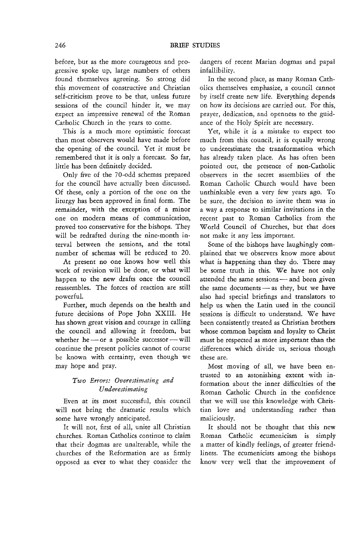before, but as the more courageous and *pro*gressive spoke up, large numbers of others found themselves agreeing. So strong did this movement of constructive and Christian self-criticism prove to be that, unless future sessions of the council hinder it, we may expect an impressive renewal of the Roman Catholic Church in the years to come.

This is a much more optimistic forecast than most observers would have made before the opening of the council. Yet it must be remembered that it is only a forecast. So far, little has been definitely decided.

Only five of the 70-odd schemas prepared for the council have actually been discussed. Of these, only a portion of the one on the liturgy has been approved in final form. The remainder, with the exception of a minor one on modern means of communication, proved too conservative for the bishops. They will be redrafted during the nine-month interval between the sessions, and the total number of schemas will be reduced to 20.

At present no one knows how well this work of revision will be done, or what will happen to the new drafts once the council reassembles. The forces of reaction are still powerful.

Further, much depends on the health and future decisions of Pope John XXIII. He has shown great vision and courage in calling the council and allowing it freedom, but whether he-or a possible successor-will continue the present policies cannot of course be known with certainty, even though we may hope and pray.

## *Two Errors: Overestimating and Underestimating*

Even at its most successful, this council will not bring the dramatic results which some have wrongly anticipated.

It will not, first of all, unite all Christian churches. Roman Catholics continue to claim that their dogmas are unalterable, while the churches of the Reformation are as firmly opposed as ever to what they consider the

dangers of recent Marian dogmas and papal infallibility.

In the second place, as many Roman Catholics themselves emphasize, a council cannot by itself create new life. Everything depends on how its decisions are carried out. For this, prayer, dedication, and openness to the guidance of the Holy Spirit are necessary.

Yet, while it is a mistake to expect too much from this council, it is equally wrong to underestimate the transformation which has already taken place. As has often been pointed out, the presence of non-Catholic observers in the secret assemblies of the Roman Catholic Church would have been unthinkable even a very few years ago. To be sure, the decision to invite them was in a way a response to similar invitations in the recent past to Roman Catholics from the World Council of Churches, but that does not make it any less important.

Some of the bishops have laughingly complained that we observers know more about what is happening than they do. There may be some truth in this. We have not only attended the same sessions - and been given the same documents  $-$  as they, but we have also had special briefings and translators to help us when the Latin used in the council sessions is difficult to understand. *Vie* have been consistently treated as Christian brothers whose common baptism and loyalty **to** Christ must be respected as more important than the differences which divide us, serious though these are.

Most moving of all, we have been entrusted to an astonishing extent with information about the inner difficulties of the Roman Catholic Church in the confidence that we will use this knowledge with Christian love and understanding rather than maliciously.

It should not be thought that this new Roman Catholic ecumenicism is simply a matter of kindly feelings, of greater friendliness. The ecumenicists among the bishops know very well that the improvement of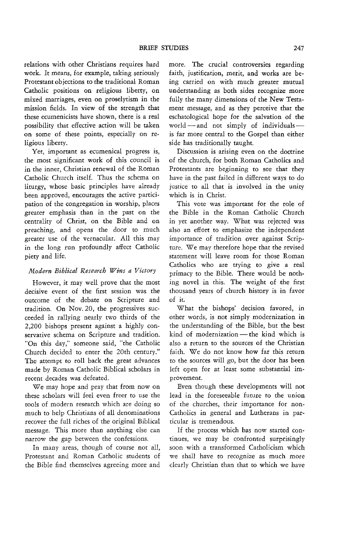relations with other Christians requires hard work. It means, for example, taking seriously Protestant objections to the traditional Roman Catholic positions on religious liberty, on mixed marriages, even on proselytism in the mission fields. In view of the strength that these ecumenicists have shown, there is a real possibility that effective action will be taken on some of these points, especially on religious liberty.

Yet, important as ecumenical progress is, the most significant work of this council is in the inner, Christian renewal of the Roman Catholic Church itself. Thus the schema on liturgy, whose basic principles have already been approved, encourages the active participation of the congregation in worship, places greater emphasis than in the past on the centrality of Christ, on the Bible and on preaching, and opens the door to much greater use of the vernacular. All this may in the long run profoundly affect Catholic piety and life.

### *Modern Biblical Research Wins a Victory*

However, it may well prove that the most decisive event of the first session was the outcome of the debate on Scripture and tradition. On Nov. 20, the progressives succeeded in rallying nearly two thirds of the 2,200 bishops present against a highly conservative schema on Scripture and tradition. "On this day," someone said, "the Catholic Church decided to enter the 20th century." The attempt to roll back the great advances made by Roman Catholic Biblical scholars in recent decades was defeated.

We may hope and pray that from now on these scholars will feel even freer to use the tools of modern research which are doing so much to help Christians of all denominations recover the full riches of the original Biblical message. This more than anything else can narrow the gap between the confessions.

In many areas, though of course not all, Protestant and Roman Catholic students of the Bible find themselves agreeing more and more. The crucial controversies regarding faith, justification, merit, and works are being carried on with much greater mutual understanding as both sides recognize more fully the many dimensions of the New Testament message, and as they perceive that the eschatological hope for the salvation of the world  $-$  and not simply of individuals  $$ is far more central to the Gospel than either side has traditionally taught.

Discussion is arising even on the doctrine of the church, for both Roman Catholics and Protestants are beginning to see that they have in the past failed in different ways to do justice to all that is involved in the unity which is in Christ.

This vote was important for the role of the Bible in the Roman Catholic Church in yet another way. What was rejected was also an effort to emphasize the independent importance of tradition over against Scripture. We may therefore hope that the revised statement will leave room for those Roman Catholics who are trying to give a real primacy to the Bible. There would be nothing novel in this. The weight of the first thousand years of church history is in favor of it.

What the bishops' decision favored, in other words, is not simply modernization in the understanding of the Bible, but the best kind of modernization-the kind which is also a return to the sources of the Christian faith. We do not know how far this return to the sources will go, but the door has been left open for at least some substantial improvement.

Even though these developments will not lead in the foreseeable future to the union of the churches, their importance for non-Catholics in general and Lutherans in particular is tremendous.

If the process which has now started continues, we may be confronted surprisingly soon with a transformed Catholicism which we shall have to recognize as much more clearly Christian than that to which we have